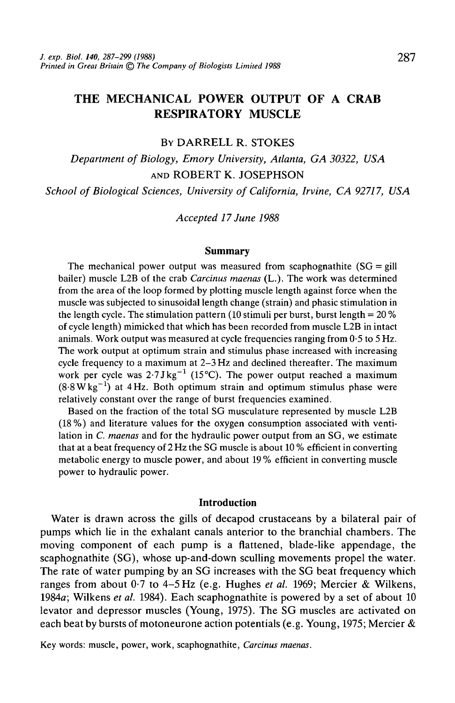# **THE MECHANICAL POWER OUTPUT OF A CRAB RESPIRATORY MUSCLE**

## BY DARRELL R. STOKES

*Department of Biology, Emory University, Atlanta, GA 30322, USA* AND ROBERT K. JOSEPHSON

*School of Biological Sciences, University of California, Irvine, CA 92717, USA*

*Accepted 17 June 1988*

#### **Summary**

The mechanical power output was measured from scaphognathite  $(SG = \text{gill})$ bailer) muscle L2B of the crab *Carcinus maenas* (L.). The work was determined from the area of the loop formed by plotting muscle length against force when the muscle was subjected to sinusoidal length change (strain) and phasic stimulation in the length cycle. The stimulation pattern (10 stimuli per burst, burst length =  $20\%$ ) of cycle length) mimicked that which has been recorded from muscle L2B in intact animals. Work output was measured at cycle frequencies ranging from  $0.5$  to  $5$  Hz. The work output at optimum strain and stimulus phase increased with increasing cycle frequency to a maximum at 2-3 Hz and declined thereafter. The maximum work per cycle was  $2.7$  J kg<sup>-1</sup> (15 °C). The power output reached a maximum  $(8.8 \text{ W} \text{kg}^{-1})$  at 4 Hz. Both optimum strain and optimum stimulus phase were relatively constant over the range of burst frequencies examined.

Based on the fraction of the total SG musculature represented by muscle L2B (18%) and literature values for the oxygen consumption associated with ventilation in *C. maenas* and for the hydraulic power output from an SG, we estimate that at a beat frequency of 2 Hz the SG muscle is about 10 % efficient in converting metabolic energy to muscle power, and about 19 % efficient in converting muscle power to hydraulic power.

## **Introduction**

Water is drawn across the gills of decapod crustaceans by a bilateral pair of pumps which lie in the exhalant canals anterior to the branchial chambers. The moving component of each pump is a flattened, blade-like appendage, the scaphognathite (SG), whose up-and-down sculling movements propel the water. The rate of water pumping by an SG increases with the SG beat frequency which ranges from about 0-7 to 4-5 Hz (e.g. Hughes *et al.* 1969; Mercier & Wilkens, 1984a; Wilkens *et al.* 1984). Each scaphognathite is powered by a set of about 10 levator and depressor muscles (Young, 1975). The SG muscles are activated on each beat by bursts of motoneurone action potentials (e.g. Young, 1975; Mercier &

Key words: muscle, power, work, scaphognathite, *Carcinus maenas.*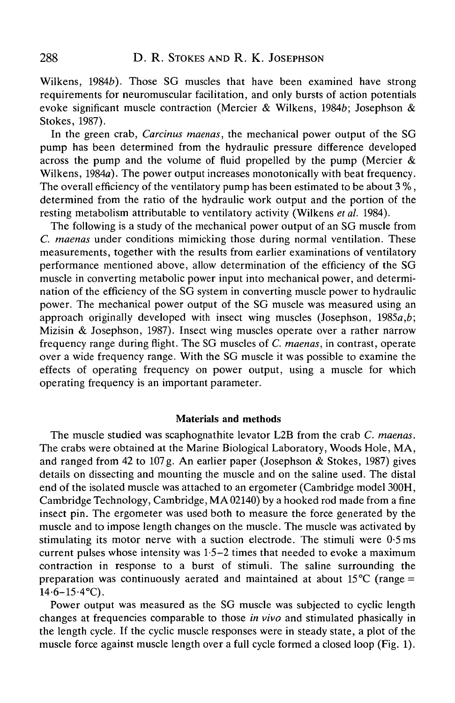Wilkens, 1984b). Those SG muscles that have been examined have strong requirements for neuromuscular facilitation, and only bursts of action potentials evoke significant muscle contraction (Mercier & Wilkens, 19846; Josephson & Stokes, 1987).

In the green crab, *Carcinus maenas,* the mechanical power output of the SG pump has been determined from the hydraulic pressure difference developed across the pump and the volume of fluid propelled by the pump (Mercier  $\&$ Wilkens, 1984a). The power output increases monotonically with beat frequency. The overall efficiency of the ventilatory pump has been estimated to be about 3 %, determined from the ratio of the hydraulic work output and the portion of the resting metabolism attributable to ventilatory activity (Wilkens *etal.* 1984).

The following is a study of the mechanical power output of an SG muscle from *C. maenas* under conditions mimicking those during normal ventilation. These measurements, together with the results from earlier examinations of ventilatory performance mentioned above, allow determination of the efficiency of the SG muscle in converting metabolic power input into mechanical power, and determination of the efficiency of the SG system in converting muscle power to hydraulic power. The mechanical power output of the SG muscle was measured using an approach originally developed with insect wing muscles (Josephson, 1985a,*b;* Mizisin & Josephson, 1987). Insect wing muscles operate over a rather narrow frequency range during flight. The SG muscles of *C. maenas,* in contrast, operate over a wide frequency range. With the SG muscle it was possible to examine the effects of operating frequency on power output, using a muscle for which operating frequency is an important parameter.

## Materials and methods

The muscle studied was scaphognathite levator L2B from the crab *C. maenas.* The crabs were obtained at the Marine Biological Laboratory, Woods Hole, MA, and ranged from 42 to 107 g. An earlier paper (Josephson & Stokes, 1987) gives details on dissecting and mounting the muscle and on the saline used. The distal end of the isolated muscle was attached to an ergometer (Cambridge model 300H, Cambridge Technology, Cambridge, MA02140) by a hooked rod made from a fine insect pin. The ergometer was used both to measure the force generated by the muscle and to impose length changes on the muscle. The muscle was activated by stimulating its motor nerve with a suction electrode. The stimuli were  $0.5$  ms current pulses whose intensity was 1-5—2 times that needed to evoke a maximum contraction in response to a burst of stimuli. The saline surrounding the preparation was continuously aerated and maintained at about  $15^{\circ}C$  (range =  $14.6 - 15.4$ °C).

Power output was measured as the SG muscle was subjected to cyclic length changes at frequencies comparable to those *in vivo* and stimulated phasically in the length cycle. If the cyclic muscle responses were in steady state, a plot of the muscle force against muscle length over a full cycle formed a closed loop (Fig. 1).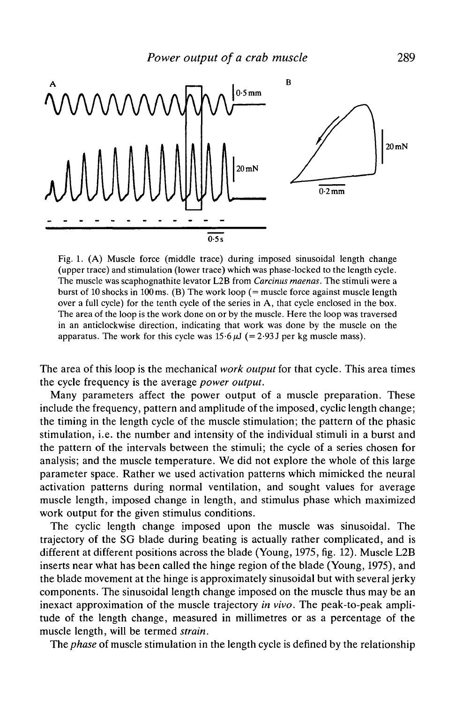

Fig. 1. (A) Muscle force (middle trace) during imposed sinusoidal length change (upper trace) and stimulation (lower trace) which was phase-locked to the length cycle. The muscle was scaphognathite levator L2B from *Carcinus maenas.* The stimuli were a burst of 10 shocks in 100 ms. (B) The work loop (= muscle force against muscle length over a full cycle) for the tenth cycle of the series in A, that cycle enclosed in the box. The area of the loop is the work done on or by the muscle. Here the loop was traversed in an anticlockwise direction, indicating that work was done by the muscle on the apparatus. The work for this cycle was  $15.6 \,\mu\text{J}$  (= 2.93 J per kg muscle mass).

The area of this loop is the mechanical *work output* for that cycle. This area times the cycle frequency is the average *power output.*

Many parameters affect the power output of a muscle preparation. These include the frequency, pattern and amplitude of the imposed, cyclic length change; the timing in the length cycle of the muscle stimulation; the pattern of the phasic stimulation, i.e. the number and intensity of the individual stimuli in a burst and the pattern of the intervals between the stimuli; the cycle of a series chosen for analysis; and the muscle temperature. We did not explore the whole of this large parameter space. Rather we used activation patterns which mimicked the neural activation patterns during normal ventilation, and sought values for average muscle length, imposed change in length, and stimulus phase which maximized work output for the given stimulus conditions.

The cyclic length change imposed upon the muscle was sinusoidal. The trajectory of the SG blade during beating is actually rather complicated, and is different at different positions across the blade (Young, 1975, fig. 12). Muscle L2B inserts near what has been called the hinge region of the blade (Young, 1975), and the blade movement at the hinge is approximately sinusoidal but with several jerky components. The sinusoidal length change imposed on the muscle thus may be an inexact approximation of the muscle trajectory *in vivo.* The peak-to-peak amplitude of the length change, measured in millimetres or as a percentage of the muscle length, will be termed *strain.*

The *phase* of muscle stimulation in the length cycle is defined by the relationship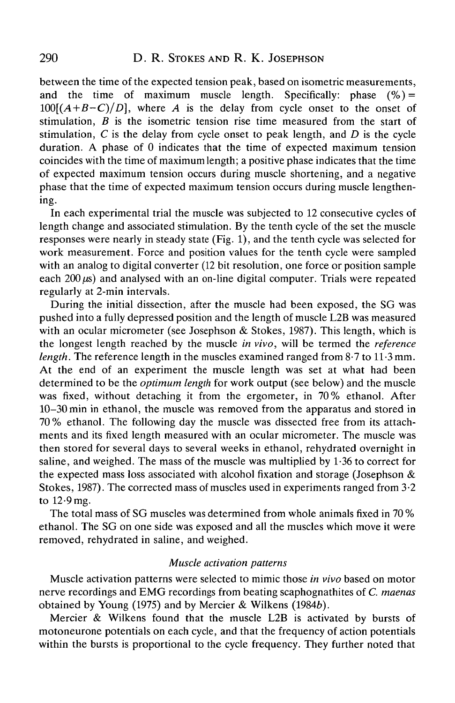between the time of the expected tension peak, based on isometric measurements, and the time of maximum muscle length. Specifically: phase  $(\%)$  = *100[(A+B-C)/D],* where *A* is the delay from cycle onset to the onset of stimulation, *B* is the isometric tension rise time measured from the start of stimulation, *C* is the delay from cycle onset to peak length, and *D* is the cycle duration. A phase of 0 indicates that the time of expected maximum tension coincides with the time of maximum length; a positive phase indicates that the time of expected maximum tension occurs during muscle shortening, and a negative phase that the time of expected maximum tension occurs during muscle lengthening.

In each experimental trial the muscle was subjected to 12 consecutive cycles of length change and associated stimulation. By the tenth cycle of the set the muscle responses were nearly in steady state (Fig. 1), and the tenth cycle was selected for work measurement. Force and position values for the tenth cycle were sampled with an analog to digital converter (12 bit resolution, one force or position sample each  $200 \mu s$ ) and analysed with an on-line digital computer. Trials were repeated regularly at 2-min intervals.

During the initial dissection, after the muscle had been exposed, the SG was pushed into a fully depressed position and the length of muscle L2B was measured with an ocular micrometer (see Josephson  $&$  Stokes, 1987). This length, which is the longest length reached by the muscle *in vivo,* will be termed the *reference length.* The reference length in the muscles examined ranged from 8-7 to 11-3 mm. At the end of an experiment the muscle length was set at what had been determined to be the *optimum length* for work output (see below) and the muscle was fixed, without detaching it from the ergometer, in 70% ethanol. After 10-30min in ethanol, the muscle was removed from the apparatus and stored in 70 % ethanol. The following day the muscle was dissected free from its attachments and its fixed length measured with an ocular micrometer. The muscle was then stored for several days to several weeks in ethanol, rehydrated overnight in saline, and weighed. The mass of the muscle was multiplied by  $1.36$  to correct for the expected mass loss associated with alcohol fixation and storage (Josephson & Stokes, 1987). The corrected mass of muscles used in experiments ranged from 3-2 to 12-9 mg.

The total mass of SG muscles was determined from whole animals fixed in 70 % ethanol. The SG on one side was exposed and all the muscles which move it were removed, rehydrated in saline, and weighed.

## *Muscle activation patterns*

Muscle activation patterns were selected to mimic those *in vivo* based on motor nerve recordings and EMG recordings from beating scaphognathites of *C. maenas* obtained by Young (1975) and by Mercier & Wilkens (1984b).

Mercier & Wilkens found that the muscle L2B is activated by bursts of motoneurone potentials on each cycle, and that the frequency of action potentials within the bursts is proportional to the cycle frequency. They further noted that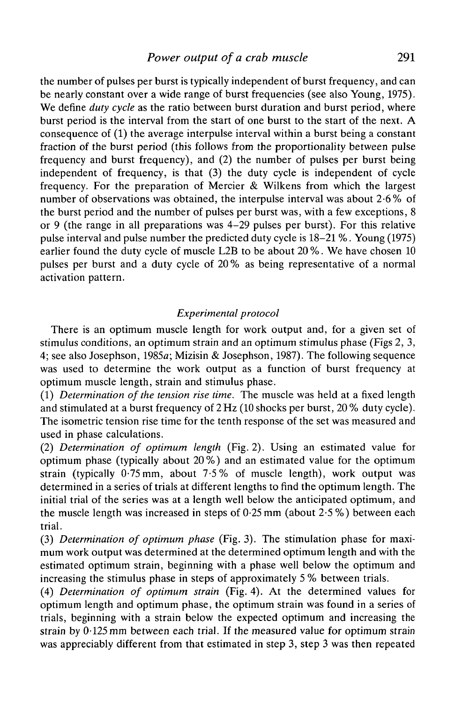the number of pulses per burst is typically independent of burst frequency, and can be nearly constant over a wide range of burst frequencies (see also Young, 1975). We define *duty cycle* as the ratio between burst duration and burst period, where burst period is the interval from the start of one burst to the start of the next. A consequence of (1) the average interpulse interval within a burst being a constant fraction of the burst period (this follows from the proportionality between pulse frequency and burst frequency), and (2) the number of pulses per burst being independent of frequency, is that (3) the duty cycle is independent of cycle frequency. For the preparation of Mercier & Wilkens from which the largest number of observations was obtained, the interpulse interval was about 2-6% of the burst period and the number of pulses per burst was, with a few exceptions, 8 or 9 (the range in all preparations was 4-29 pulses per burst). For this relative pulse interval and pulse number the predicted duty cycle is 18-21 %. Young (1975) earlier found the duty cycle of muscle L2B to be about 20 %. We have chosen 10 pulses per burst and a duty cycle of 20 % as being representative of a normal activation pattern.

# *Experimental protocol*

There is an optimum muscle length for work output and, for a given set of stimulus conditions, an optimum strain and an optimum stimulus phase (Figs 2,3, 4; see also Josephson, 1985a; Mizisin & Josephson, 1987). The following sequence was used to determine the work output as a function of burst frequency at optimum muscle length, strain and stimulus phase.

(1) *Determination of the tension rise time.* The muscle was held at a fixed length and stimulated at a burst frequency of 2Hz (10 shocks per burst, 20 % duty cycle). The isometric tension rise time for the tenth response of the set was measured and used in phase calculations.

(2) *Determination of optimum length* (Fig. 2). Using an estimated value for optimum phase (typically about 20%) and an estimated value for the optimum strain (typically  $0.75$  mm, about  $7.5\%$  of muscle length), work output was determined in a series of trials at different lengths to find the optimum length. The initial trial of the series was at a length well below the anticipated optimum, and the muscle length was increased in steps of 0-25 mm (about 2-5 %) between each trial.

(3) *Determination of optimum phase* (Fig. 3). The stimulation phase for maximum work output was determined at the determined optimum length and with the estimated optimum strain, beginning with a phase well below the optimum and increasing the stimulus phase in steps of approximately 5 % between trials.

(4) *Determination of optimum strain* (Fig. 4). At the determined values for optimum length and optimum phase, the optimum strain was found in a series of trials, beginning with a strain below the expected optimum and increasing the strain by  $0.125$  mm between each trial. If the measured value for optimum strain was appreciably different from that estimated in step 3, step 3 was then repeated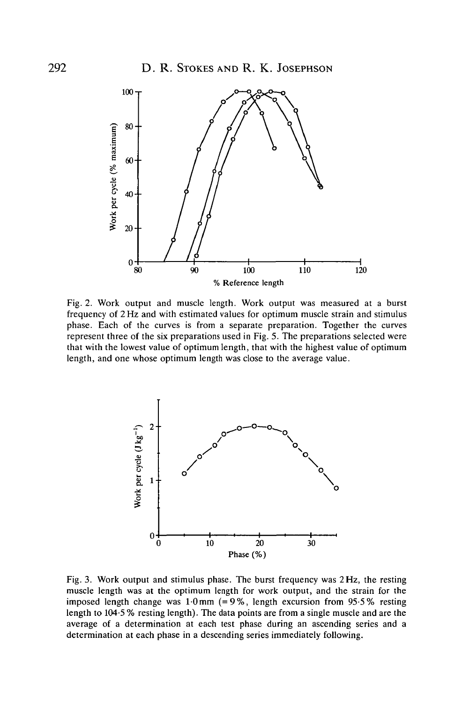

Fig. 2. Work output and muscle length. Work output was measured at a burst frequency of 2 Hz and with estimated values for optimum muscle strain and stimulus phase. Each of the curves is from a separate preparation. Together the curves represent three of the six preparations used in Fig. 5. The preparations selected were that with the lowest value of optimum length, that with the highest value of optimum length, and one whose optimum length was close to the average value.



Fig. 3. Work output and stimulus phase. The burst frequency was 2 Hz, the resting muscle length was at the optimum length for work output, and the strain for the imposed length change was  $1.0 \text{ mm}$  (=9%, length excursion from 95.5% resting length to 104-5 % resting length). The data points are from a single muscle and are the average of a determination at each test phase during an ascending series and a determination at each phase in a descending series immediately following.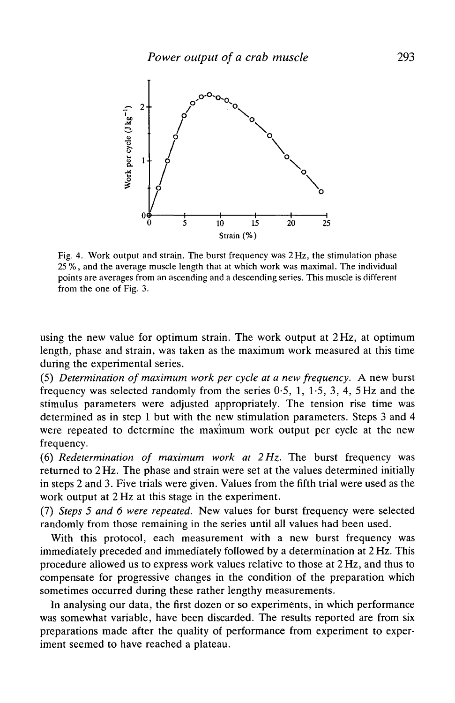

Fig. 4. Work output and strain. The burst frequency was 2 Hz, the stimulation phase 25 *%,* and the average muscle length that at which work was maximal. The individual points are averages from an ascending and a descending series. This muscle is different from the one of Fig. 3.

using the new value for optimum strain. The work output at 2 Hz, at optimum length, phase and strain, was taken as the maximum work measured at this time during the experimental series.

(5) *Determination of maximum work per cycle at a new frequency. A* new burst frequency was selected randomly from the series 0-5, 1, 1-5, 3, 4, 5Hz and the stimulus parameters were adjusted appropriately. The tension rise time was determined as in step 1 but with the new stimulation parameters. Steps 3 and 4 were repeated to determine the maximum work output per cycle at the new frequency.

(6) *Redetermination of maximum work at 2 Hz.* The burst frequency was returned to 2 Hz. The phase and strain were set at the values determined initially in steps 2 and 3. Five trials were given. Values from the fifth trial were used as the work output at 2 Hz at this stage in the experiment.

(7) *Steps 5 and 6 were repeated.* New values for burst frequency were selected randomly from those remaining in the series until all values had been used.

With this protocol, each measurement with a new burst frequency was immediately preceded and immediately followed by a determination at 2 Hz. This procedure allowed us to express work values relative to those at 2 Hz, and thus to compensate for progressive changes in the condition of the preparation which sometimes occurred during these rather lengthy measurements.

In analysing our data, the first dozen or so experiments, in which performance was somewhat variable, have been discarded. The results reported are from six preparations made after the quality of performance from experiment to experiment seemed to have reached a plateau.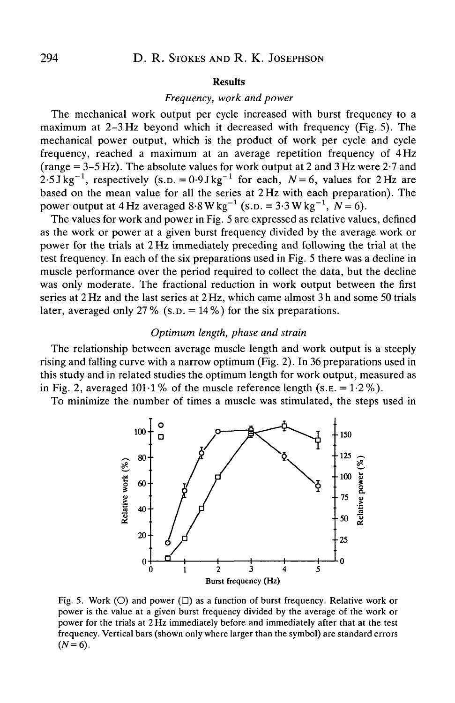#### Results

## *Frequency, work and power*

The mechanical work output per cycle increased with burst frequency to a maximum at 2-3 Hz beyond which it decreased with frequency (Fig. 5). The mechanical power output, which is the product of work per cycle and cycle frequency, reached a maximum at an average repetition frequency of 4 Hz (range  $= 3-5$  Hz). The absolute values for work output at 2 and 3 Hz were 2.7 and  $2.5 \text{ J kg}^{-1}$ , respectively (s.p. =  $0.9 \text{ J kg}^{-1}$  for each,  $N = 6$ , values for 2 Hz are based on the mean value for all the series at 2Hz with each preparation). The power output at 4 Hz averaged  $8.8 \text{ W kg}^{-1}$  (s.p. =  $3.3 \text{ W kg}^{-1}$ ,  $N=6$ ).

The values for work and power in Fig. 5 are expressed as relative values, defined as the work or power at a given burst frequency divided by the average work or power for the trials at 2 Hz immediately preceding and following the trial at the test frequency. In each of the six preparations used in Fig. 5 there was a decline in muscle performance over the period required to collect the data, but the decline was only moderate. The fractional reduction in work output between the first series at 2 Hz and the last series at 2 Hz, which came almost 3h and some 50 trials later, averaged only 27% (s.p.  $= 14\%$ ) for the six preparations.

## *Optimum length, phase and strain*

The relationship between average muscle length and work output is a steeply rising and falling curve with a narrow optimum (Fig. 2). In 36 preparations used in this study and in related studies the optimum length for work output, measured as in Fig. 2, averaged 101.1% of the muscle reference length (s.g. =  $1.2\%$ ).

To minimize the number of times a muscle was stimulated, the steps used in



Fig. 5. Work (O) and power ( $\square$ ) as a function of burst frequency. Relative work or power is the value at a given burst frequency divided by the average of the work or power for the trials at 2 Hz immediately before and immediately after that at the test frequency. Vertical bars (shown only where larger than the symbol) are standard errors  $(N=6)$ .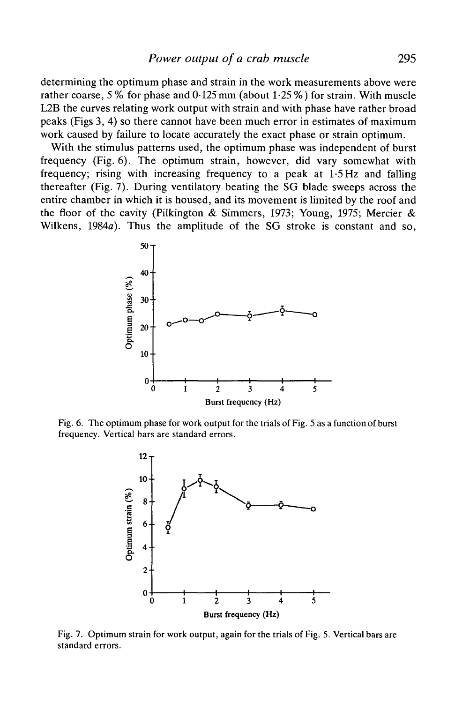determining the optimum phase and strain in the work measurements above were rather coarse, 5 % for phase and 0-125 mm (about 1-25 %) for strain. With muscle L2B the curves relating work output with strain and with phase have rather broad peaks (Figs 3, 4) so there cannot have been much error in estimates of maximum work caused by failure to locate accurately the exact phase or strain optimum.

With the stimulus patterns used, the optimum phase was independent of burst frequency (Fig. 6). The optimum strain, however, did vary somewhat with frequency; rising with increasing frequency to a peak at 1-5 Hz and falling thereafter (Fig. 7). During ventilatory beating the SG blade sweeps across the entire chamber in which it is housed, and its movement is limited by the roof and the floor of the cavity (Pilkington & Simmers, 1973; Young, 1975; Mercier & Wilkens, 1984a). Thus the amplitude of the SG stroke is constant and so,



Fig. 6. The optimum phase for work output for the trials of Fig. 5 as a function of burst frequency. Vertical bars are standard errors.



Fig. 7. Optimum strain for work output, again for the trials of Fig. 5. Vertical bars are standard errors.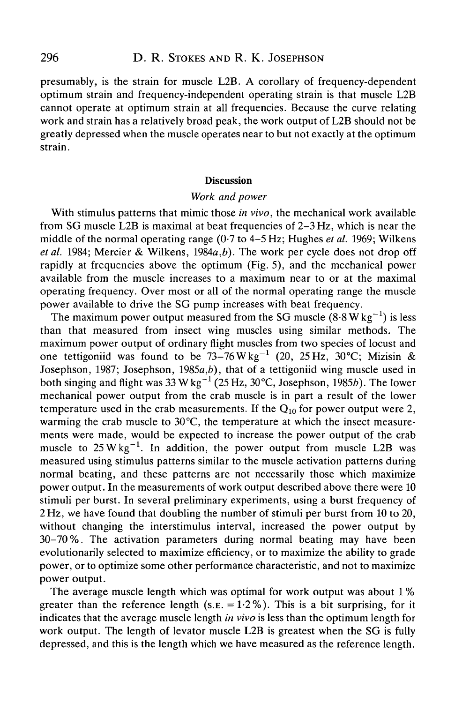presumably, is the strain for muscle L2B. A corollary of frequency-dependent optimum strain and frequency-independent operating strain is that muscle L2B cannot operate at optimum strain at all frequencies. Because the curve relating work and strain has a relatively broad peak, the work output of L2B should not be greatly depressed when the muscle operates near to but not exactly at the optimum strain.

## **Discussion**

## *Work and power*

With stimulus patterns that mimic those *in vivo,* the mechanical work available from SG muscle L2B is maximal at beat frequencies of 2-3 Hz, which is near the middle of the normal operating range (0-7 to 4-5 Hz; Hughes *et al.* 1969; Wilkens *et al.* 1984; Mercier & Wilkens, 1984a,*b).* The work per cycle does not drop off rapidly at frequencies above the optimum (Fig. 5), and the mechanical power available from the muscle increases to a maximum near to or at the maximal operating frequency. Over most or all of the normal operating range the muscle power available to drive the SG pump increases with beat frequency.

The maximum power output measured from the SG muscle  $(8.8 \text{ W kg}^{-1})$  is less than that measured from insect wing muscles using similar methods. The maximum power output of ordinary flight muscles from two species of locust and one tettigoniid was found to be  $73-76 \text{ W kg}^{-1}$  (20, 25 Hz, 30°C; Mizisin & Josephson, 1987; Josephson, 1985a,*b),* that of a tettigoniid wing muscle used in both singing and flight was 33 W kg $^{-1}$  (25 Hz, 30°C, Josephson, 1985b). The lower mechanical power output from the crab muscle is in part a result of the lower temperature used in the crab measurements. If the  $Q_{10}$  for power output were 2, warming the crab muscle to 30°C, the temperature at which the insect measurements were made, would be expected to increase the power output of the crab muscle to  $25 \text{ W kg}^{-1}$ . In addition, the power output from muscle L2B was measured using stimulus patterns similar to the muscle activation patterns during normal beating, and these patterns are not necessarily those which maximize power output. In the measurements of work output described above there were 10 stimuli per burst. In several preliminary experiments, using a burst frequency of 2 Hz, we have found that doubling the number of stimuli per burst from 10 to 20, without changing the interstimulus interval, increased the power output by 30-70%. The activation parameters during normal beating may have been evolutionarily selected to maximize efficiency, or to maximize the ability to grade power, or to optimize some other performance characteristic, and not to maximize power output.

The average muscle length which was optimal for work output was about 1 % greater than the reference length (s.e.  $= 1.2\%$ ). This is a bit surprising, for it indicates that the average muscle length *in vivo* is less than the optimum length for work output. The length of levator muscle L2B is greatest when the SG is fully depressed, and this is the length which we have measured as the reference length.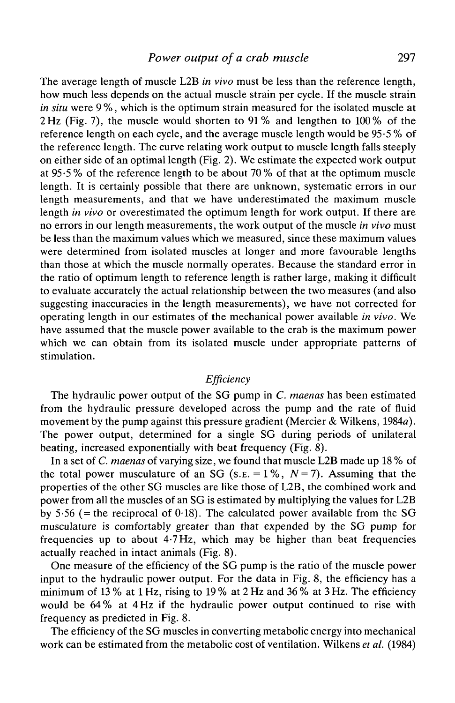The average length of muscle L2B *in vivo* must be less than the reference length, how much less depends on the actual muscle strain per cycle. If the muscle strain *in situ* were 9 %, which is the optimum strain measured for the isolated muscle at 2Hz (Fig. 7), the muscle would shorten to 91% and lengthen to 100% of the reference length on each cycle, and the average muscle length would be 95-5 % of the reference length. The curve relating work output to muscle length falls steeply on either side of an optimal length (Fig. 2). We estimate the expected work output at 95-5 % of the reference length to be about 70 % of that at the optimum muscle length. It is certainly possible that there are unknown, systematic errors in our length measurements, and that we have underestimated the maximum muscle length *in vivo* or overestimated the optimum length for work output. If there are no errors in our length measurements, the work output of the muscle *in vivo* must be less than the maximum values which we measured, since these maximum values were determined from isolated muscles at longer and more favourable lengths than those at which the muscle normally operates. Because the standard error in the ratio of optimum length to reference length is rather large, making it difficult to evaluate accurately the actual relationship between the two measures (and also suggesting inaccuracies in the length measurements), we have not corrected for operating length in our estimates of the mechanical power available *in vivo.* We have assumed that the muscle power available to the crab is the maximum power which we can obtain from its isolated muscle under appropriate patterns of stimulation.

# *Efficiency*

The hydraulic power output of the SG pump in *C. maenas* has been estimated from the hydraulic pressure developed across the pump and the rate of fluid movement by the pump against this pressure gradient (Mercier & Wilkens, 1984a). The power output, determined for a single SG during periods of unilateral beating, increased exponentially with beat frequency (Fig. 8).

In a set of *C. maenas* of varying size, we found that muscle L2B made up 18 % of the total power musculature of an SG (s.e.  $= 1\%$ ,  $N = 7$ ). Assuming that the properties of the other SG muscles are like those of L2B, the combined work and power from all the muscles of an SG is estimated by multiplying the values for L2B by 5.56 (= the reciprocal of 0.18). The calculated power available from the SG musculature is comfortably greater than that expended by the SG pump for frequencies up to about 4-7 Hz, which may be higher than beat frequencies actually reached in intact animals (Fig. 8).

One measure of the efficiency of the SG pump is the ratio of the muscle power input to the hydraulic power output. For the data in Fig. 8, the efficiency has a minimum of 13 % at 1 Hz, rising to 19 % at 2 Hz and 36 % at 3 Hz. The efficiency would be 64% at 4 Hz if the hydraulic power output continued to rise with frequency as predicted in Fig. 8.

The efficiency of the SG muscles in converting metabolic energy into mechanical work can be estimated from the metabolic cost of ventilation. Wilkens *et al.* (1984)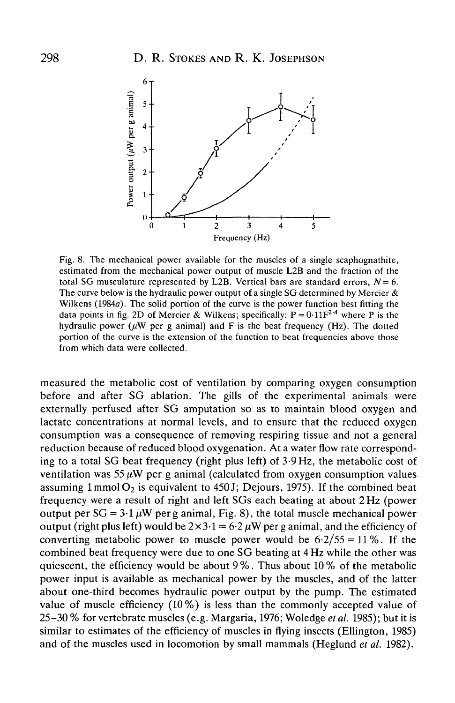

Fig. 8. The mechanical power available for the muscles of a single scaphognathite, estimated from the mechanical power output of muscle L2B and the fraction of the total SG musculature represented by L2B. Vertical bars are standard errors,  $N = 6$ . The curve below is the hydraulic power output of a single SG determined by Mercier  $\&$ Wilkens (1984a). The solid portion of the curve is the power function best fitting the data points in fig. 2D of Mercier & Wilkens; specifically:  $P = 0.11F^{2.4}$  where P is the hydraulic power ( $\mu$ W per g animal) and F is the beat frequency (Hz). The dotted portion of the curve is the extension of the function to beat frequencies above those from which data were collected.

measured the metabolic cost of ventilation by comparing oxygen consumption before and after SG ablation. The gills of the experimental animals were externally perfused after SG amputation so as to maintain blood oxygen and lactate concentrations at normal levels, and to ensure that the reduced oxygen consumption was a consequence of removing respiring tissue and not a general reduction because of reduced blood oxygenation. At a water flow rate corresponding to a total SG beat frequency (right plus left) of 3-9 Hz, the metabolic cost of ventilation was  $55 \mu W$  per g animal (calculated from oxygen consumption values assuming  $1 \text{mmol O}_2$  is equivalent to 450 J; Dejours, 1975). If the combined beat frequency were a result of right and left SGs each beating at about 2 Hz (power output per  $SG = 3.1 \mu W$  per g animal, Fig. 8), the total muscle mechanical power output (right plus left) would be  $2 \times 3.1 = 6.2 \mu W$  per g animal, and the efficiency of converting metabolic power to muscle power would be  $6.2/55 = 11\%$ . If the combined beat frequency were due to one SG beating at 4 Hz while the other was quiescent, the efficiency would be about 9 %. Thus about 10 % of the metabolic power input is available as mechanical power by the muscles, and of the latter about one-third becomes hydraulic power output by the pump. The estimated value of muscle efficiency (10%) is less than the commonly accepted value of 25-30 % for vertebrate muscles (e.g. Margaria, 1976; Woledge *et al.* 1985); but it is similar to estimates of the efficiency of muscles in flying insects (Ellington, 1985) and of the muscles used in locomotion by small mammals (Heglund *et al.* 1982).